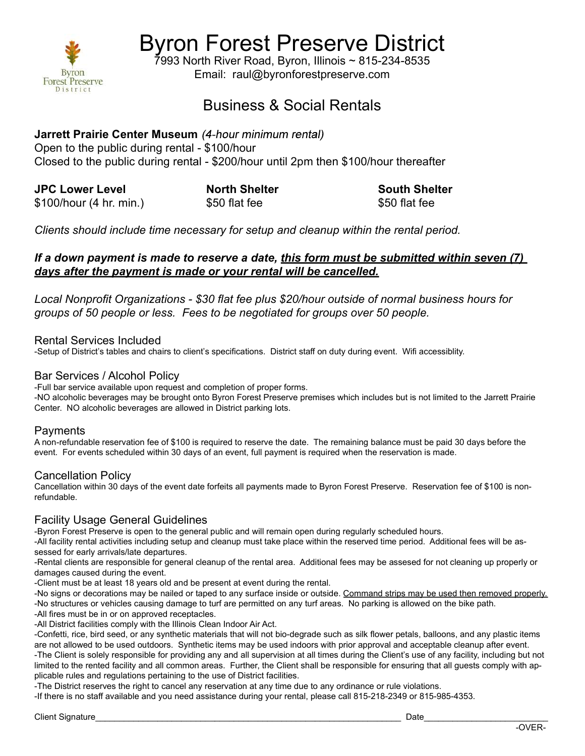

Byron Forest Preserve District

7993 North River Road, Byron, Illinois ~ 815-234-8535 Email: raul@byronforestpreserve.com

# Business & Social Rentals

# Jarrett Prairie Center Museum (4-hour minimum rental)

Open to the public during rental - \$100/hour Closed to the public during rental - \$200/hour until 2pm then \$100/hour thereafter

JPC Lower Level North Shelter South Shelter \$100/hour (4 hr. min.) \$50 flat fee \$50 flat fee

Clients should include time necessary for setup and cleanup within the rental period.

## If a down payment is made to reserve a date, this form must be submitted within seven (7) days after the payment is made or your rental will be cancelled.

Local Nonprofit Organizations - \$30 flat fee plus \$20/hour outside of normal business hours for groups of 50 people or less. Fees to be negotiated for groups over 50 people.

## Rental Services Included

-Setup of District's tables and chairs to client's specifications. District staff on duty during event. Wifi accessiblity.

#### Bar Services / Alcohol Policy

-Full bar service available upon request and completion of proper forms.

-NO alcoholic beverages may be brought onto Byron Forest Preserve premises which includes but is not limited to the Jarrett Prairie Center. NO alcoholic beverages are allowed in District parking lots.

#### **Payments**

A non-refundable reservation fee of \$100 is required to reserve the date. The remaining balance must be paid 30 days before the event. For events scheduled within 30 days of an event, full payment is required when the reservation is made.

#### Cancellation Policy

Cancellation within 30 days of the event date forfeits all payments made to Byron Forest Preserve. Reservation fee of \$100 is nonrefundable.

#### Facility Usage General Guidelines

-Byron Forest Preserve is open to the general public and will remain open during regularly scheduled hours.

-All facility rental activities including setup and cleanup must take place within the reserved time period. Additional fees will be assessed for early arrivals/late departures.

-Rental clients are responsible for general cleanup of the rental area. Additional fees may be assesed for not cleaning up properly or damages caused during the event.

-Client must be at least 18 years old and be present at event during the rental.

-No signs or decorations may be nailed or taped to any surface inside or outside. Command strips may be used then removed properly. -No structures or vehicles causing damage to turf are permitted on any turf areas. No parking is allowed on the bike path.

-All fires must be in or on approved receptacles. -All District facilities comply with the Illinois Clean Indoor Air Act.

-Confetti, rice, bird seed, or any synthetic materials that will not bio-degrade such as silk flower petals, balloons, and any plastic items are not allowed to be used outdoors. Synthetic items may be used indoors with prior approval and acceptable cleanup after event. -The Client is solely responsible for providing any and all supervision at all times during the Client's use of any facility, including but not limited to the rented facility and all common areas. Further, the Client shall be responsible for ensuring that all guests comply with applicable rules and regulations pertaining to the use of District facilities.

-The District reserves the right to cancel any reservation at any time due to any ordinance or rule violations.

-If there is no staff available and you need assistance during your rental, please call 815-218-2349 or 815-985-4353.